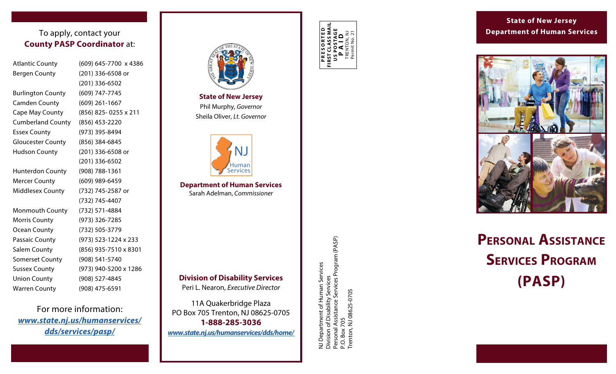#### To apply, contact your **County PASP Coordinator** at:

| <b>Atlantic County</b>   | (60)  |
|--------------------------|-------|
| <b>Bergen County</b>     | (20)  |
|                          | (20)  |
| <b>Burlington County</b> | (60)  |
| <b>Camden County</b>     | (60)  |
| Cape May County          | (856) |
| <b>Cumberland County</b> | (856) |
| <b>Essex County</b>      | (97)  |
| <b>Gloucester County</b> | (856) |
| <b>Hudson County</b>     | (20)  |
|                          | (20)  |
| <b>Hunterdon County</b>  | (908) |
| <b>Mercer County</b>     | (60)  |
| <b>Middlesex County</b>  | (73)  |
|                          | (73)  |
| Monmouth County          | (73)  |
| <b>Morris County</b>     | (97)  |
| <b>Ocean County</b>      | (73)  |
| Passaic County           | (97)  |
| <b>Salem County</b>      | (856) |
| <b>Somerset County</b>   | (908) |
| <b>Sussex County</b>     | (97)  |
| <b>Union County</b>      | (908  |
| <b>Warren County</b>     | (908  |

9) 645-7700 x 4386 1) 336-6508 or (201) 336-6502 9) 747-7745 9) 261-1667 6) 825- 0255 x 211  $(6)$  453-2220 (3) 395-8494 6) 384-6845 1) 336-6508 or (201) 336-6502 8) 788-1361 (9) 989-6459 2) 745-2587 or (732) 745-4407 (2) 571-4884 (3) 326-7285 (2) 505-3779 3) 523-1224 x 233 6) 935-7510 x 8301 08) 541-5740 (3) 940-5200 x 1286 8) 527-4845 (908) 475-6591

For more information: *[www.state.nj.us/humanservices/](http://www.state.nj.us/humanservices/dds/services/pasp/) [dds/services/pasp/](http://www.state.nj.us/humanservices/dds/services/pasp/)* 



**State of New Jersey**  Phil Murphy, *Governor*  Sheila Oliver, *Lt. Governor* 



**Department of Human Services**  Sarah Adelman, *Commissioner* 

#### **Division of Disability Services**

Peri L. Nearon, *Executive Director* 

11A Quakerbridge Plaza PO Box 705 Trenton, NJ 08625-0705 **1-888-285-3036**  *[www.state.nj.us/humanservices/dds/home/](http://www.state.nj.us/humanservices/dds/home/)*  **PRESORTED FIRST CLASS MAIL US POSTAGE P A I D** TRENTON, NJ Permit No. 21

NJ Department of Human Services Division of Disability Services Personal Assistance Services Program (PASP)

NJ Department of Human Services<br>Division of Disability Services<br>Personal Assistance Services Program (PASP)<br>P.O. Box 705

P.O. Box 705

Trenton, NJ 08625-0705

Trenton, NJ 08625-0705

#### **State of New Jersey Department of Human Services**



## **PERSONAL ASSISTANCE SERVICES PROGRAM (PASP)**